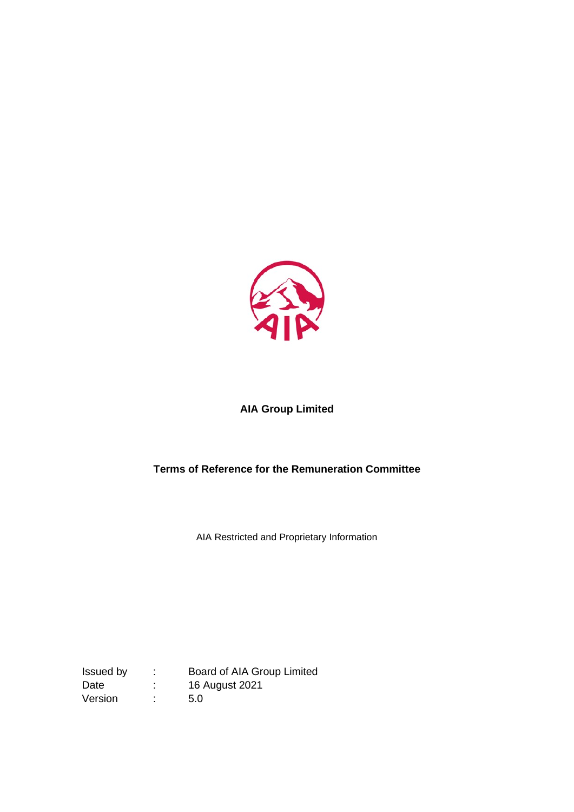

# **AIA Group Limited**

# **Terms of Reference for the Remuneration Committee**

AIA Restricted and Proprietary Information

Board of AIA Group Limited Issued by : Board of AIA Green<br>Date : 16 August 2021 Version : 5.0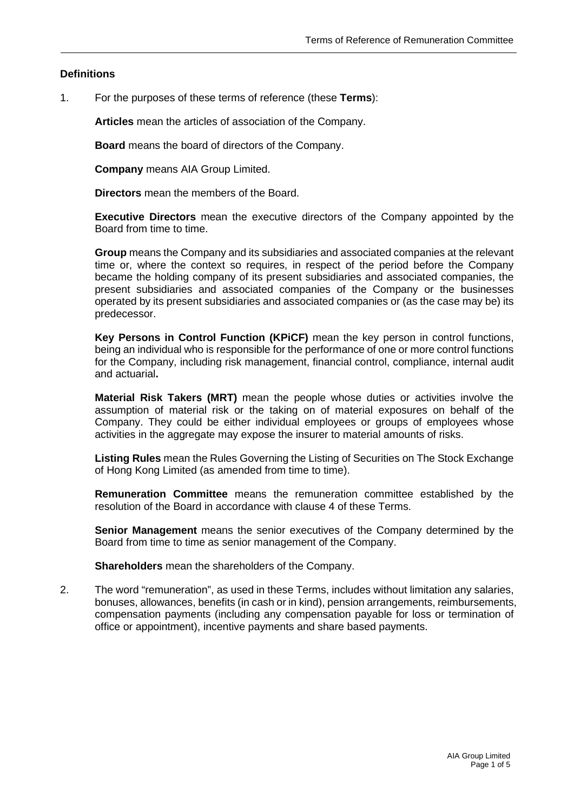# **Definitions**

1. For the purposes of these terms of reference (these **Terms**):

**Articles** mean the articles of association of the Company.

**Board** means the board of directors of the Company.

**Company** means AIA Group Limited.

**Directors** mean the members of the Board.

**Executive Directors** mean the executive directors of the Company appointed by the Board from time to time.

**Group** means the Company and its subsidiaries and associated companies at the relevant time or, where the context so requires, in respect of the period before the Company became the holding company of its present subsidiaries and associated companies, the present subsidiaries and associated companies of the Company or the businesses operated by its present subsidiaries and associated companies or (as the case may be) its predecessor.

**Key Persons in Control Function (KPiCF)** mean the key person in control functions, being an individual who is responsible for the performance of one or more control functions for the Company, including risk management, financial control, compliance, internal audit and actuarial**.** 

**Material Risk Takers (MRT)** mean the people whose duties or activities involve the assumption of material risk or the taking on of material exposures on behalf of the Company. They could be either individual employees or groups of employees whose activities in the aggregate may expose the insurer to material amounts of risks.

**Listing Rules** mean the Rules Governing the Listing of Securities on The Stock Exchange of Hong Kong Limited (as amended from time to time).

**Remuneration Committee** means the remuneration committee established by the resolution of the Board in accordance with clause 4 of these Terms.

**Senior Management** means the senior executives of the Company determined by the Board from time to time as senior management of the Company.

**Shareholders** mean the shareholders of the Company.

2. The word "remuneration", as used in these Terms, includes without limitation any salaries, bonuses, allowances, benefits (in cash or in kind), pension arrangements, reimbursements, compensation payments (including any compensation payable for loss or termination of office or appointment), incentive payments and share based payments.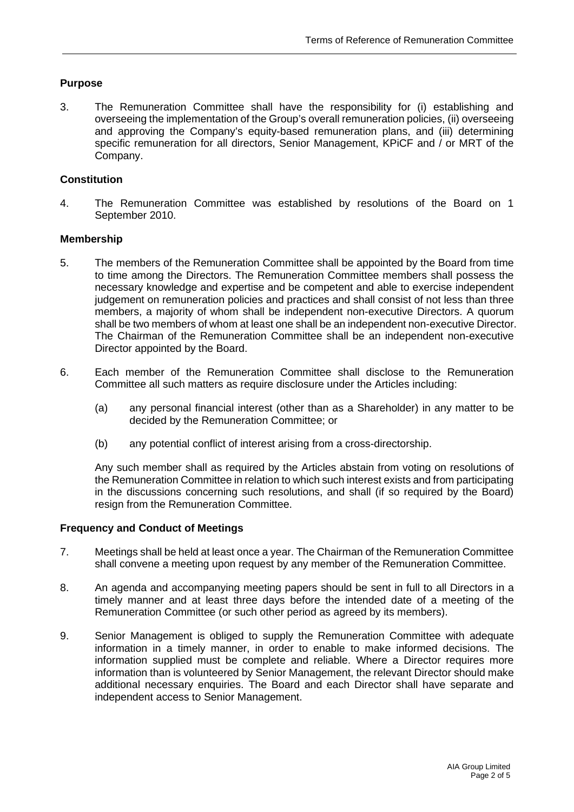# **Purpose**

3. The Remuneration Committee shall have the responsibility for (i) establishing and overseeing the implementation of the Group's overall remuneration policies, (ii) overseeing and approving the Company's equity-based remuneration plans, and (iii) determining specific remuneration for all directors, Senior Management, KPiCF and / or MRT of the Company.

# **Constitution**

4. The Remuneration Committee was established by resolutions of the Board on 1 September 2010.

#### **Membership**

- 5. The members of the Remuneration Committee shall be appointed by the Board from time to time among the Directors. The Remuneration Committee members shall possess the necessary knowledge and expertise and be competent and able to exercise independent judgement on remuneration policies and practices and shall consist of not less than three members, a majority of whom shall be independent non-executive Directors. A quorum shall be two members of whom at least one shall be an independent non-executive Director. The Chairman of the Remuneration Committee shall be an independent non-executive Director appointed by the Board.
- 6. Each member of the Remuneration Committee shall disclose to the Remuneration Committee all such matters as require disclosure under the Articles including:
	- (a) any personal financial interest (other than as a Shareholder) in any matter to be decided by the Remuneration Committee; or
	- (b) any potential conflict of interest arising from a cross-directorship.

Any such member shall as required by the Articles abstain from voting on resolutions of the Remuneration Committee in relation to which such interest exists and from participating in the discussions concerning such resolutions, and shall (if so required by the Board) resign from the Remuneration Committee.

#### **Frequency and Conduct of Meetings**

- 7. Meetings shall be held at least once a year. The Chairman of the Remuneration Committee shall convene a meeting upon request by any member of the Remuneration Committee.
- 8. An agenda and accompanying meeting papers should be sent in full to all Directors in a timely manner and at least three days before the intended date of a meeting of the Remuneration Committee (or such other period as agreed by its members).
- 9. Senior Management is obliged to supply the Remuneration Committee with adequate information in a timely manner, in order to enable to make informed decisions. The information supplied must be complete and reliable. Where a Director requires more information than is volunteered by Senior Management, the relevant Director should make additional necessary enquiries. The Board and each Director shall have separate and independent access to Senior Management.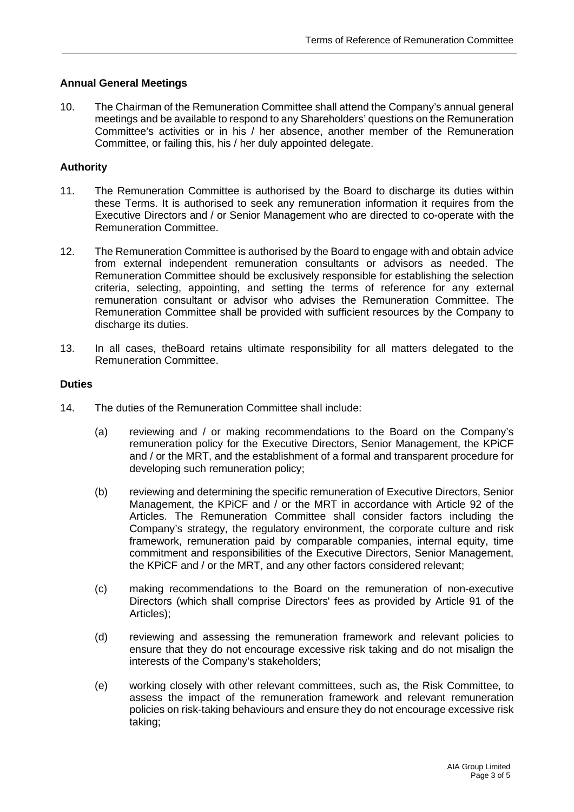# **Annual General Meetings**

10. The Chairman of the Remuneration Committee shall attend the Company's annual general meetings and be available to respond to any Shareholders' questions on the Remuneration Committee's activities or in his / her absence, another member of the Remuneration Committee, or failing this, his / her duly appointed delegate.

# **Authority**

- 11. The Remuneration Committee is authorised by the Board to discharge its duties within these Terms. It is authorised to seek any remuneration information it requires from the Executive Directors and / or Senior Management who are directed to co-operate with the Remuneration Committee.
- 12. The Remuneration Committee is authorised by the Board to engage with and obtain advice from external independent remuneration consultants or advisors as needed. The Remuneration Committee should be exclusively responsible for establishing the selection criteria, selecting, appointing, and setting the terms of reference for any external remuneration consultant or advisor who advises the Remuneration Committee. The Remuneration Committee shall be provided with sufficient resources by the Company to discharge its duties.
- 13. In all cases, theBoard retains ultimate responsibility for all matters delegated to the Remuneration Committee.

#### **Duties**

- 14. The duties of the Remuneration Committee shall include:
	- (a) reviewing and / or making recommendations to the Board on the Company's remuneration policy for the Executive Directors, Senior Management, the KPiCF and / or the MRT, and the establishment of a formal and transparent procedure for developing such remuneration policy;
	- (b) reviewing and determining the specific remuneration of Executive Directors, Senior Management, the KPiCF and / or the MRT in accordance with Article 92 of the Articles. The Remuneration Committee shall consider factors including the Company's strategy, the regulatory environment, the corporate culture and risk framework, remuneration paid by comparable companies, internal equity, time commitment and responsibilities of the Executive Directors, Senior Management, the KPiCF and / or the MRT, and any other factors considered relevant;
	- (c) making recommendations to the Board on the remuneration of non-executive Directors (which shall comprise Directors' fees as provided by Article 91 of the Articles);
	- (d) reviewing and assessing the remuneration framework and relevant policies to ensure that they do not encourage excessive risk taking and do not misalign the interests of the Company's stakeholders;
	- (e) working closely with other relevant committees, such as, the Risk Committee, to assess the impact of the remuneration framework and relevant remuneration policies on risk-taking behaviours and ensure they do not encourage excessive risk taking;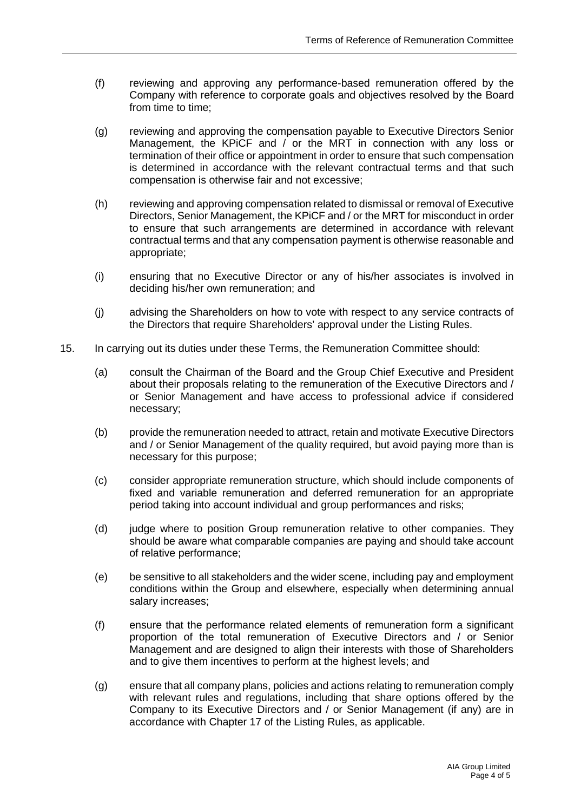- (f) reviewing and approving any performance-based remuneration offered by the Company with reference to corporate goals and objectives resolved by the Board from time to time;
- (g) reviewing and approving the compensation payable to Executive Directors Senior Management, the KPiCF and / or the MRT in connection with any loss or termination of their office or appointment in order to ensure that such compensation is determined in accordance with the relevant contractual terms and that such compensation is otherwise fair and not excessive;
- (h) reviewing and approving compensation related to dismissal or removal of Executive Directors, Senior Management, the KPiCF and / or the MRT for misconduct in order to ensure that such arrangements are determined in accordance with relevant contractual terms and that any compensation payment is otherwise reasonable and appropriate;
- (i) ensuring that no Executive Director or any of his/her associates is involved in deciding his/her own remuneration; and
- (j) advising the Shareholders on how to vote with respect to any service contracts of the Directors that require Shareholders' approval under the Listing Rules.
- 15. In carrying out its duties under these Terms, the Remuneration Committee should:
	- (a) consult the Chairman of the Board and the Group Chief Executive and President about their proposals relating to the remuneration of the Executive Directors and / or Senior Management and have access to professional advice if considered necessary;
	- (b) provide the remuneration needed to attract, retain and motivate Executive Directors and / or Senior Management of the quality required, but avoid paying more than is necessary for this purpose;
	- (c) consider appropriate remuneration structure, which should include components of fixed and variable remuneration and deferred remuneration for an appropriate period taking into account individual and group performances and risks;
	- (d) judge where to position Group remuneration relative to other companies. They should be aware what comparable companies are paying and should take account of relative performance;
	- (e) be sensitive to all stakeholders and the wider scene, including pay and employment conditions within the Group and elsewhere, especially when determining annual salary increases;
	- (f) ensure that the performance related elements of remuneration form a significant proportion of the total remuneration of Executive Directors and / or Senior Management and are designed to align their interests with those of Shareholders and to give them incentives to perform at the highest levels; and
	- (g) ensure that all company plans, policies and actions relating to remuneration comply with relevant rules and regulations, including that share options offered by the Company to its Executive Directors and / or Senior Management (if any) are in accordance with Chapter 17 of the Listing Rules, as applicable.